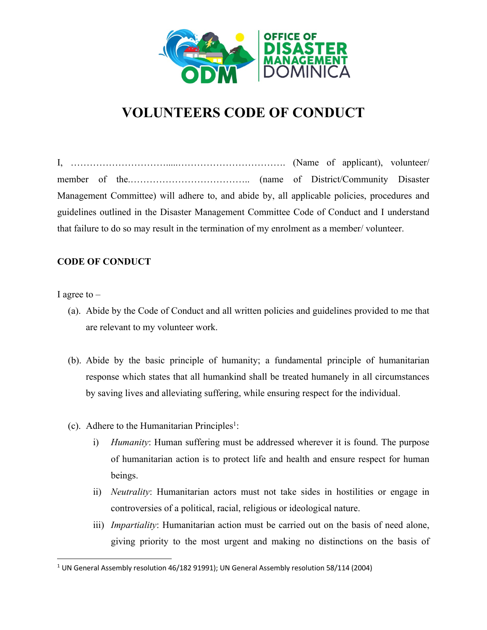

## **VOLUNTEERS CODE OF CONDUCT**

I, ………………………….....……………………………. (Name of applicant), volunteer/ member of the.……………………………….. (name of District/Community Disaster Management Committee) will adhere to, and abide by, all applicable policies, procedures and guidelines outlined in the Disaster Management Committee Code of Conduct and I understand that failure to do so may result in the termination of my enrolment as a member/ volunteer.

## **CODE OF CONDUCT**

I agree to  $-$ 

- (a). Abide by the Code of Conduct and all written policies and guidelines provided to me that are relevant to my volunteer work.
- (b). Abide by the basic principle of humanity; a fundamental principle of humanitarian response which states that all humankind shall be treated humanely in all circumstances by saving lives and alleviating suffering, while ensuring respect for the individual.
- $(c)$ . Adhere to the Humanitarian Principles<sup>1</sup>:
	- i) *Humanity*: Human suffering must be addressed wherever it is found. The purpose of humanitarian action is to protect life and health and ensure respect for human beings.
	- ii) *Neutrality*: Humanitarian actors must not take sides in hostilities or engage in controversies of a political, racial, religious or ideological nature.
	- iii) *Impartiality*: Humanitarian action must be carried out on the basis of need alone, giving priority to the most urgent and making no distinctions on the basis of

 $1$  UN General Assembly resolution 46/182 91991); UN General Assembly resolution 58/114 (2004)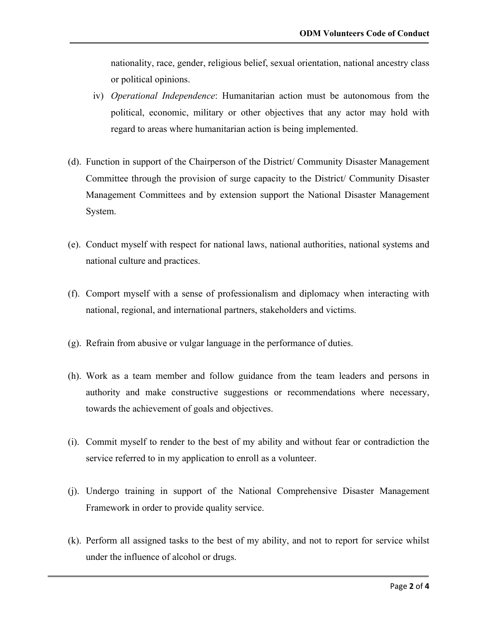nationality, race, gender, religious belief, sexual orientation, national ancestry class or political opinions.

- iv) *Operational Independence*: Humanitarian action must be autonomous from the political, economic, military or other objectives that any actor may hold with regard to areas where humanitarian action is being implemented.
- (d). Function in support of the Chairperson of the District/ Community Disaster Management Committee through the provision of surge capacity to the District/ Community Disaster Management Committees and by extension support the National Disaster Management System.
- (e). Conduct myself with respect for national laws, national authorities, national systems and national culture and practices.
- (f). Comport myself with a sense of professionalism and diplomacy when interacting with national, regional, and international partners, stakeholders and victims.
- (g). Refrain from abusive or vulgar language in the performance of duties.
- (h). Work as a team member and follow guidance from the team leaders and persons in authority and make constructive suggestions or recommendations where necessary, towards the achievement of goals and objectives.
- (i). Commit myself to render to the best of my ability and without fear or contradiction the service referred to in my application to enroll as a volunteer.
- (j). Undergo training in support of the National Comprehensive Disaster Management Framework in order to provide quality service.
- (k). Perform all assigned tasks to the best of my ability, and not to report for service whilst under the influence of alcohol or drugs.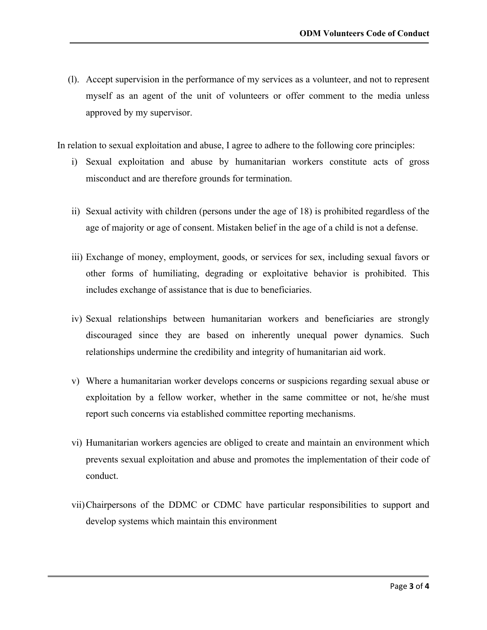(l). Accept supervision in the performance of my services as a volunteer, and not to represent myself as an agent of the unit of volunteers or offer comment to the media unless approved by my supervisor.

In relation to sexual exploitation and abuse, I agree to adhere to the following core principles:

- i) Sexual exploitation and abuse by humanitarian workers constitute acts of gross misconduct and are therefore grounds for termination.
- ii) Sexual activity with children (persons under the age of 18) is prohibited regardless of the age of majority or age of consent. Mistaken belief in the age of a child is not a defense.
- iii) Exchange of money, employment, goods, or services for sex, including sexual favors or other forms of humiliating, degrading or exploitative behavior is prohibited. This includes exchange of assistance that is due to beneficiaries.
- iv) Sexual relationships between humanitarian workers and beneficiaries are strongly discouraged since they are based on inherently unequal power dynamics. Such relationships undermine the credibility and integrity of humanitarian aid work.
- v) Where a humanitarian worker develops concerns or suspicions regarding sexual abuse or exploitation by a fellow worker, whether in the same committee or not, he/she must report such concerns via established committee reporting mechanisms.
- vi) Humanitarian workers agencies are obliged to create and maintain an environment which prevents sexual exploitation and abuse and promotes the implementation of their code of conduct.
- vii)Chairpersons of the DDMC or CDMC have particular responsibilities to support and develop systems which maintain this environment